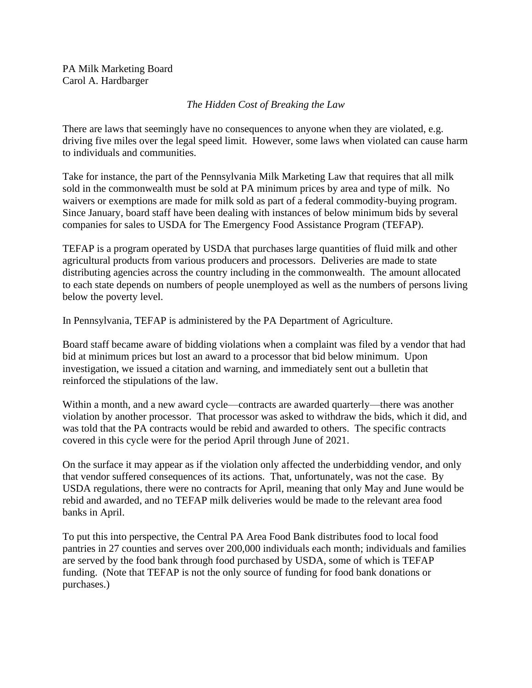PA Milk Marketing Board Carol A. Hardbarger

## *The Hidden Cost of Breaking the Law*

There are laws that seemingly have no consequences to anyone when they are violated, e.g. driving five miles over the legal speed limit. However, some laws when violated can cause harm to individuals and communities.

Take for instance, the part of the Pennsylvania Milk Marketing Law that requires that all milk sold in the commonwealth must be sold at PA minimum prices by area and type of milk. No waivers or exemptions are made for milk sold as part of a federal commodity-buying program. Since January, board staff have been dealing with instances of below minimum bids by several companies for sales to USDA for The Emergency Food Assistance Program (TEFAP).

TEFAP is a program operated by USDA that purchases large quantities of fluid milk and other agricultural products from various producers and processors. Deliveries are made to state distributing agencies across the country including in the commonwealth. The amount allocated to each state depends on numbers of people unemployed as well as the numbers of persons living below the poverty level.

In Pennsylvania, TEFAP is administered by the PA Department of Agriculture.

Board staff became aware of bidding violations when a complaint was filed by a vendor that had bid at minimum prices but lost an award to a processor that bid below minimum. Upon investigation, we issued a citation and warning, and immediately sent out a bulletin that reinforced the stipulations of the law.

Within a month, and a new award cycle—contracts are awarded quarterly—there was another violation by another processor. That processor was asked to withdraw the bids, which it did, and was told that the PA contracts would be rebid and awarded to others. The specific contracts covered in this cycle were for the period April through June of 2021.

On the surface it may appear as if the violation only affected the underbidding vendor, and only that vendor suffered consequences of its actions. That, unfortunately, was not the case. By USDA regulations, there were no contracts for April, meaning that only May and June would be rebid and awarded, and no TEFAP milk deliveries would be made to the relevant area food banks in April.

To put this into perspective, the Central PA Area Food Bank distributes food to local food pantries in 27 counties and serves over 200,000 individuals each month; individuals and families are served by the food bank through food purchased by USDA, some of which is TEFAP funding. (Note that TEFAP is not the only source of funding for food bank donations or purchases.)